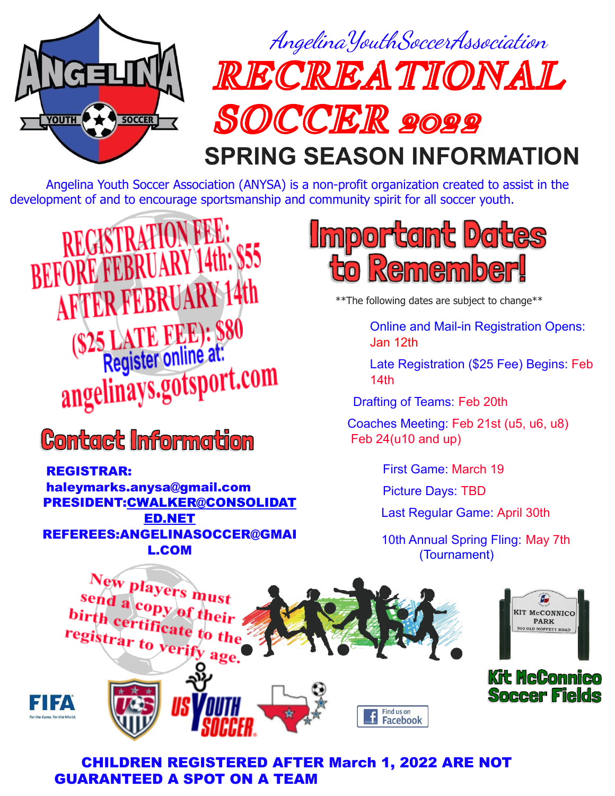

Angelina Youth Soccer Association (ANYSA) is a non-profit organization created to assist in the development of and to encourage sportsmanship and community spirit for all soccer youth.

**REGISTRATION FE** RY 14th: \$55 **BEFORE FEBR AFTER FEBRUARY 14th** (\$25 LATE FEE): \$80 angelinays.gotsport.com

**Contact Information** 

REGISTRAR: haleymarks.anysa@gmail.com PRESIDENT[:CWALKER@CONSOLIDAT](mailto:CWALKER@CONSOLIDATED.NET) [ED.NET](mailto:CWALKER@CONSOLIDATED.NET) REFEREES[:ANGELINASOCCER@GMAI](mailto:ANGELINASOCCER@GMAIL.COM) [L.COM](mailto:ANGELINASOCCER@GMAIL.COM)



\*\*The following dates are subject to change\*\*

Online and Mail-in Registration Opens: Jan 12th

Late Registration (\$25 Fee) Begins: Feb 14th

Drafting of Teams: Feb 20th

Coaches Meeting: Feb 21st (u5, u6, u8) Feb 24(u10 and up)

First Game: March 19

Picture Days: TBD

Last Regular Game: April 30th

10th Annual Spring Fling: May 7th (Tournament)







## CHILDREN REGISTERED AFTER March 1, 2022 ARE NOT GUARANTEED A SPOT ON A TEAM